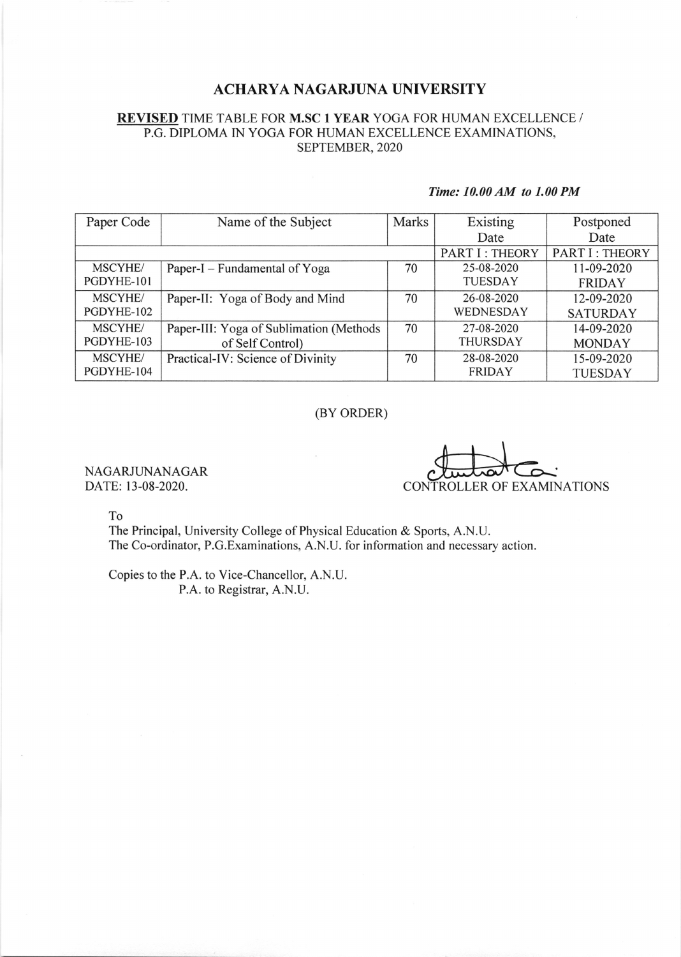## ACHARYA NAGARJUNA UNIVERSITY

### REVISED TIME TABLE FOR M.SC 1 YEAR YOGA FOR HUMAN EXCELLENCE / P.G. DIPLOMA IN YOGA FOR HUMAN EXCELLENCE EXAMINATIONS, SEPTEMBER,2O2O

#### Time: 10.00 AM to 1.00 PM

| Paper Code      | Name of the Subject                     | Marks | Existing        | Postponed             |
|-----------------|-----------------------------------------|-------|-----------------|-----------------------|
|                 |                                         |       | Date            | Date                  |
|                 |                                         |       | PART I: THEORY  | <b>PART I: THEORY</b> |
| <b>MSCYHE</b> / | Paper-I – Fundamental of Yoga           | 70    | 25-08-2020      | 11-09-2020            |
| PGDYHE-101      |                                         |       | <b>TUESDAY</b>  | <b>FRIDAY</b>         |
| <b>MSCYHE</b>   | Paper-II: Yoga of Body and Mind         | 70    | 26-08-2020      | 12-09-2020            |
| PGDYHE-102      |                                         |       | WEDNESDAY       | <b>SATURDAY</b>       |
| <b>MSCYHE</b>   | Paper-III: Yoga of Sublimation (Methods | 70    | 27-08-2020      | 14-09-2020            |
| PGDYHE-103      | of Self Control)                        |       | <b>THURSDAY</b> | <b>MONDAY</b>         |
| <b>MSCYHE/</b>  | Practical-IV: Science of Divinity       | 70    | 28-08-2020      | 15-09-2020            |
| PGDYHE-104      |                                         |       | <b>FRIDAY</b>   | <b>TUESDAY</b>        |

### (BY ORDER)

NAGARJUNANAGAR DATE: 13-08-2020.

CONTROLLER OF EXAMINATIONS

To

The Principal, University College of Physical Education & Sports, A.N.U. The Co-ordinator, P.G.Examinations, A.N.U. for information and necessary action.

Copies to the P.A. to Vice-Chancellor, A.N.U. P.A. to Registrar, A.N.U.